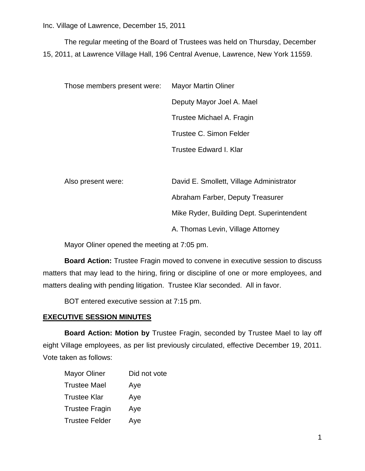The regular meeting of the Board of Trustees was held on Thursday, December 15, 2011, at Lawrence Village Hall, 196 Central Avenue, Lawrence, New York 11559.

| <b>Mayor Martin Oliner</b> |
|----------------------------|
| Deputy Mayor Joel A. Mael  |
| Trustee Michael A. Fragin  |
| Trustee C. Simon Felder    |
| Trustee Edward I. Klar     |
|                            |

Also present were: David E. Smollett, Village Administrator Abraham Farber, Deputy Treasurer Mike Ryder, Building Dept. Superintendent A. Thomas Levin, Village Attorney

Mayor Oliner opened the meeting at 7:05 pm.

**Board Action:** Trustee Fragin moved to convene in executive session to discuss matters that may lead to the hiring, firing or discipline of one or more employees, and matters dealing with pending litigation. Trustee Klar seconded. All in favor.

BOT entered executive session at 7:15 pm.

### **EXECUTIVE SESSION MINUTES**

**Board Action: Motion by** Trustee Fragin, seconded by Trustee Mael to lay off eight Village employees, as per list previously circulated, effective December 19, 2011. Vote taken as follows:

| <b>Mayor Oliner</b>   | Did not vote |
|-----------------------|--------------|
| <b>Trustee Mael</b>   | Aye          |
| <b>Trustee Klar</b>   | Aye          |
| <b>Trustee Fragin</b> | Aye          |
| <b>Trustee Felder</b> | Aye          |
|                       |              |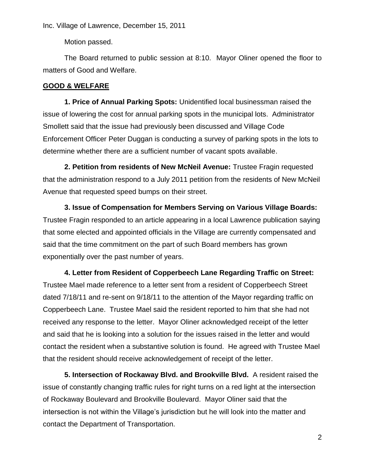Motion passed.

The Board returned to public session at 8:10. Mayor Oliner opened the floor to matters of Good and Welfare.

### **GOOD & WELFARE**

**1. Price of Annual Parking Spots:** Unidentified local businessman raised the issue of lowering the cost for annual parking spots in the municipal lots. Administrator Smollett said that the issue had previously been discussed and Village Code Enforcement Officer Peter Duggan is conducting a survey of parking spots in the lots to determine whether there are a sufficient number of vacant spots available.

**2. Petition from residents of New McNeil Avenue:** Trustee Fragin requested that the administration respond to a July 2011 petition from the residents of New McNeil Avenue that requested speed bumps on their street.

**3. Issue of Compensation for Members Serving on Various Village Boards:**  Trustee Fragin responded to an article appearing in a local Lawrence publication saying that some elected and appointed officials in the Village are currently compensated and said that the time commitment on the part of such Board members has grown exponentially over the past number of years.

**4. Letter from Resident of Copperbeech Lane Regarding Traffic on Street:**  Trustee Mael made reference to a letter sent from a resident of Copperbeech Street dated 7/18/11 and re-sent on 9/18/11 to the attention of the Mayor regarding traffic on Copperbeech Lane. Trustee Mael said the resident reported to him that she had not received any response to the letter. Mayor Oliner acknowledged receipt of the letter and said that he is looking into a solution for the issues raised in the letter and would contact the resident when a substantive solution is found. He agreed with Trustee Mael that the resident should receive acknowledgement of receipt of the letter.

**5. Intersection of Rockaway Blvd. and Brookville Blvd.** A resident raised the issue of constantly changing traffic rules for right turns on a red light at the intersection of Rockaway Boulevard and Brookville Boulevard. Mayor Oliner said that the intersection is not within the Village's jurisdiction but he will look into the matter and contact the Department of Transportation.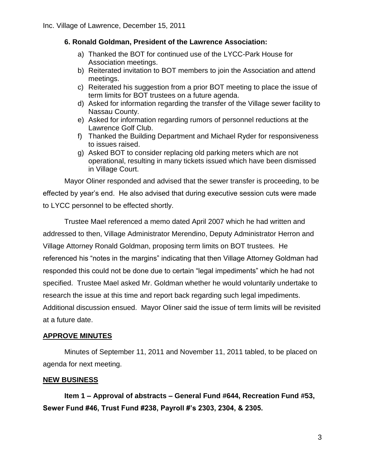### **6. Ronald Goldman, President of the Lawrence Association:**

- a) Thanked the BOT for continued use of the LYCC-Park House for Association meetings.
- b) Reiterated invitation to BOT members to join the Association and attend meetings.
- c) Reiterated his suggestion from a prior BOT meeting to place the issue of term limits for BOT trustees on a future agenda.
- d) Asked for information regarding the transfer of the Village sewer facility to Nassau County.
- e) Asked for information regarding rumors of personnel reductions at the Lawrence Golf Club.
- f) Thanked the Building Department and Michael Ryder for responsiveness to issues raised.
- g) Asked BOT to consider replacing old parking meters which are not operational, resulting in many tickets issued which have been dismissed in Village Court.

Mayor Oliner responded and advised that the sewer transfer is proceeding, to be effected by year's end. He also advised that during executive session cuts were made to LYCC personnel to be effected shortly.

Trustee Mael referenced a memo dated April 2007 which he had written and addressed to then, Village Administrator Merendino, Deputy Administrator Herron and Village Attorney Ronald Goldman, proposing term limits on BOT trustees. He referenced his "notes in the margins" indicating that then Village Attorney Goldman had responded this could not be done due to certain "legal impediments" which he had not specified. Trustee Mael asked Mr. Goldman whether he would voluntarily undertake to research the issue at this time and report back regarding such legal impediments. Additional discussion ensued. Mayor Oliner said the issue of term limits will be revisited at a future date.

## **APPROVE MINUTES**

Minutes of September 11, 2011 and November 11, 2011 tabled, to be placed on agenda for next meeting.

### **NEW BUSINESS**

**Item 1 – Approval of abstracts – General Fund #644, Recreation Fund #53, Sewer Fund #46, Trust Fund #238, Payroll #'s 2303, 2304, & 2305.**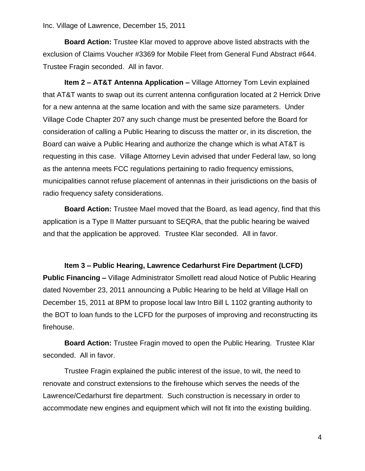**Board Action:** Trustee Klar moved to approve above listed abstracts with the exclusion of Claims Voucher #3369 for Mobile Fleet from General Fund Abstract #644. Trustee Fragin seconded. All in favor.

**Item 2 – AT&T Antenna Application –** Village Attorney Tom Levin explained that AT&T wants to swap out its current antenna configuration located at 2 Herrick Drive for a new antenna at the same location and with the same size parameters. Under Village Code Chapter 207 any such change must be presented before the Board for consideration of calling a Public Hearing to discuss the matter or, in its discretion, the Board can waive a Public Hearing and authorize the change which is what AT&T is requesting in this case. Village Attorney Levin advised that under Federal law, so long as the antenna meets FCC regulations pertaining to radio frequency emissions, municipalities cannot refuse placement of antennas in their jurisdictions on the basis of radio frequency safety considerations.

**Board Action:** Trustee Mael moved that the Board, as lead agency, find that this application is a Type II Matter pursuant to SEQRA, that the public hearing be waived and that the application be approved. Trustee Klar seconded. All in favor.

#### **Item 3 – Public Hearing, Lawrence Cedarhurst Fire Department (LCFD)**

**Public Financing –** Village Administrator Smollett read aloud Notice of Public Hearing dated November 23, 2011 announcing a Public Hearing to be held at Village Hall on December 15, 2011 at 8PM to propose local law Intro Bill L 1102 granting authority to the BOT to loan funds to the LCFD for the purposes of improving and reconstructing its firehouse.

**Board Action:** Trustee Fragin moved to open the Public Hearing. Trustee Klar seconded. All in favor.

Trustee Fragin explained the public interest of the issue, to wit, the need to renovate and construct extensions to the firehouse which serves the needs of the Lawrence/Cedarhurst fire department. Such construction is necessary in order to accommodate new engines and equipment which will not fit into the existing building.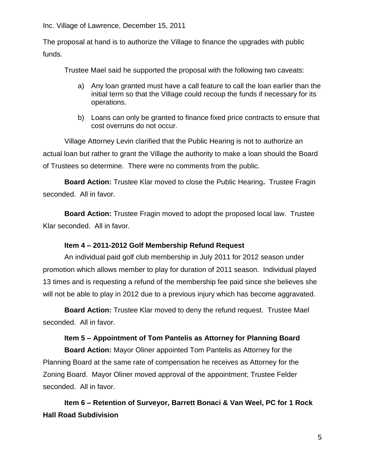The proposal at hand is to authorize the Village to finance the upgrades with public funds.

Trustee Mael said he supported the proposal with the following two caveats:

- a) Any loan granted must have a call feature to call the loan earlier than the initial term so that the Village could recoup the funds if necessary for its operations.
- b) Loans can only be granted to finance fixed price contracts to ensure that cost overruns do not occur.

Village Attorney Levin clarified that the Public Hearing is not to authorize an actual loan but rather to grant the Village the authority to make a loan should the Board of Trustees so determine. There were no comments from the public.

**Board Action:** Trustee Klar moved to close the Public Hearing**.** Trustee Fragin seconded. All in favor.

**Board Action:** Trustee Fragin moved to adopt the proposed local law. Trustee Klar seconded. All in favor.

### **Item 4 – 2011-2012 Golf Membership Refund Request**

An individual paid golf club membership in July 2011 for 2012 season under promotion which allows member to play for duration of 2011 season. Individual played 13 times and is requesting a refund of the membership fee paid since she believes she will not be able to play in 2012 due to a previous injury which has become aggravated.

**Board Action:** Trustee Klar moved to deny the refund request. Trustee Mael seconded. All in favor.

## **Item 5 – Appointment of Tom Pantelis as Attorney for Planning Board**

**Board Action:** Mayor Oliner appointed Tom Pantelis as Attorney for the Planning Board at the same rate of compensation he receives as Attorney for the Zoning Board. Mayor Oliner moved approval of the appointment; Trustee Felder seconded. All in favor.

**Item 6 – Retention of Surveyor, Barrett Bonaci & Van Weel, PC for 1 Rock Hall Road Subdivision**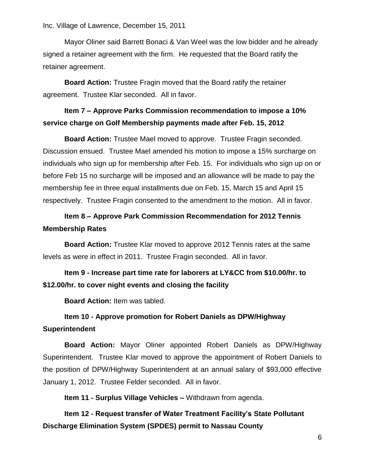Mayor Oliner said Barrett Bonaci & Van Weel was the low bidder and he already signed a retainer agreement with the firm. He requested that the Board ratify the retainer agreement.

**Board Action:** Trustee Fragin moved that the Board ratify the retainer agreement. Trustee Klar seconded. All in favor.

## **Item 7 – Approve Parks Commission recommendation to impose a 10% service charge on Golf Membership payments made after Feb. 15, 2012**

**Board Action:** Trustee Mael moved to approve. Trustee Fragin seconded. Discussion ensued. Trustee Mael amended his motion to impose a 15% surcharge on individuals who sign up for membership after Feb. 15. For individuals who sign up on or before Feb 15 no surcharge will be imposed and an allowance will be made to pay the membership fee in three equal installments due on Feb. 15, March 15 and April 15 respectively. Trustee Fragin consented to the amendment to the motion. All in favor.

# **Item 8 – Approve Park Commission Recommendation for 2012 Tennis Membership Rates**

**Board Action:** Trustee Klar moved to approve 2012 Tennis rates at the same levels as were in effect in 2011. Trustee Fragin seconded. All in favor.

# **Item 9 - Increase part time rate for laborers at LY&CC from \$10.00/hr. to \$12.00/hr. to cover night events and closing the facility**

**Board Action:** Item was tabled.

# **Item 10 - Approve promotion for Robert Daniels as DPW/Highway Superintendent**

**Board Action:** Mayor Oliner appointed Robert Daniels as DPW/Highway Superintendent. Trustee Klar moved to approve the appointment of Robert Daniels to the position of DPW/Highway Superintendent at an annual salary of \$93,000 effective January 1, 2012. Trustee Felder seconded. All in favor.

**Item 11 - Surplus Village Vehicles –** Withdrawn from agenda.

**Item 12 - Request transfer of Water Treatment Facility's State Pollutant Discharge Elimination System (SPDES) permit to Nassau County**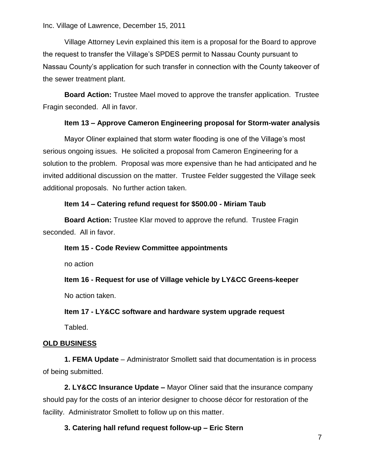Village Attorney Levin explained this item is a proposal for the Board to approve the request to transfer the Village's SPDES permit to Nassau County pursuant to Nassau County's application for such transfer in connection with the County takeover of the sewer treatment plant.

**Board Action:** Trustee Mael moved to approve the transfer application. Trustee Fragin seconded. All in favor.

### **Item 13 – Approve Cameron Engineering proposal for Storm-water analysis**

Mayor Oliner explained that storm water flooding is one of the Village's most serious ongoing issues. He solicited a proposal from Cameron Engineering for a solution to the problem. Proposal was more expensive than he had anticipated and he invited additional discussion on the matter. Trustee Felder suggested the Village seek additional proposals. No further action taken.

### **Item 14 – Catering refund request for \$500.00 - Miriam Taub**

**Board Action:** Trustee Klar moved to approve the refund. Trustee Fragin seconded. All in favor.

#### **Item 15 - Code Review Committee appointments**

no action

**Item 16 - Request for use of Village vehicle by LY&CC Greens-keeper**

No action taken.

### **Item 17 - LY&CC software and hardware system upgrade request**

Tabled.

### **OLD BUSINESS**

**1. FEMA Update** – Administrator Smollett said that documentation is in process of being submitted.

**2. LY&CC Insurance Update –** Mayor Oliner said that the insurance company should pay for the costs of an interior designer to choose décor for restoration of the facility. Administrator Smollett to follow up on this matter.

### **3. Catering hall refund request follow-up – Eric Stern**